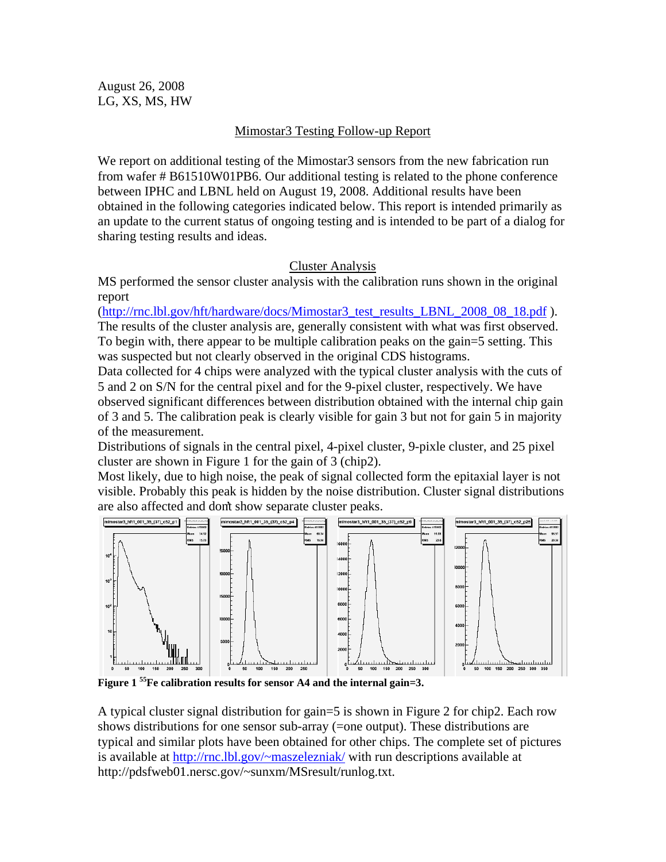August 26, 2008 LG, XS, MS, HW

# Mimostar3 Testing Follow-up Report

We report on additional testing of the Mimostar3 sensors from the new fabrication run from wafer # B61510W01PB6. Our additional testing is related to the phone conference between IPHC and LBNL held on August 19, 2008. Additional results have been obtained in the following categories indicated below. This report is intended primarily as an update to the current status of ongoing testing and is intended to be part of a dialog for sharing testing results and ideas.

### Cluster Analysis

MS performed the sensor cluster analysis with the calibration runs shown in the original report

(http://rnc.lbl.gov/hft/hardware/docs/Mimostar3\_test\_results\_LBNL\_2008\_08\_18.pdf ). The results of the cluster analysis are, generally consistent with what was first observed. To begin with, there appear to be multiple calibration peaks on the gain=5 setting. This was suspected but not clearly observed in the original CDS histograms.

Data collected for 4 chips were analyzed with the typical cluster analysis with the cuts of 5 and 2 on S/N for the central pixel and for the 9-pixel cluster, respectively. We have observed significant differences between distribution obtained with the internal chip gain of 3 and 5. The calibration peak is clearly visible for gain 3 but not for gain 5 in majority of the measurement.

Distributions of signals in the central pixel, 4-pixel cluster, 9-pixle cluster, and 25 pixel cluster are shown in Figure 1 for the gain of 3 (chip2).

Most likely, due to high noise, the peak of signal collected form the epitaxial layer is not visible. Probably this peak is hidden by the noise distribution. Cluster signal distributions are also affected and don't show separate cluster peaks.



**Figure 1 55Fe calibration results for sensor A4 and the internal gain=3.** 

A typical cluster signal distribution for gain=5 is shown in Figure 2 for chip2. Each row shows distributions for one sensor sub-array (=one output). These distributions are typical and similar plots have been obtained for other chips. The complete set of pictures is available at http://rnc.lbl.gov/~maszelezniak/ with run descriptions available at http://pdsfweb01.nersc.gov/~sunxm/MSresult/runlog.txt.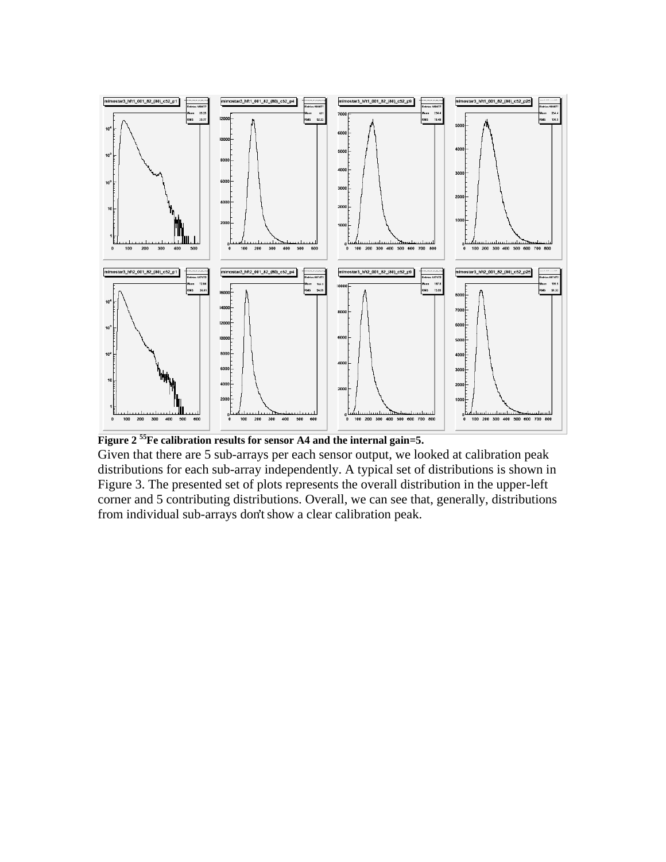

**Figure 2 55Fe calibration results for sensor A4 and the internal gain=5.**  Given that there are 5 sub-arrays per each sensor output, we looked at calibration peak distributions for each sub-array independently. A typical set of distributions is shown in Figure 3. The presented set of plots represents the overall distribution in the upper-left corner and 5 contributing distributions. Overall, we can see that, generally, distributions from individual sub-arrays don't show a clear calibration peak.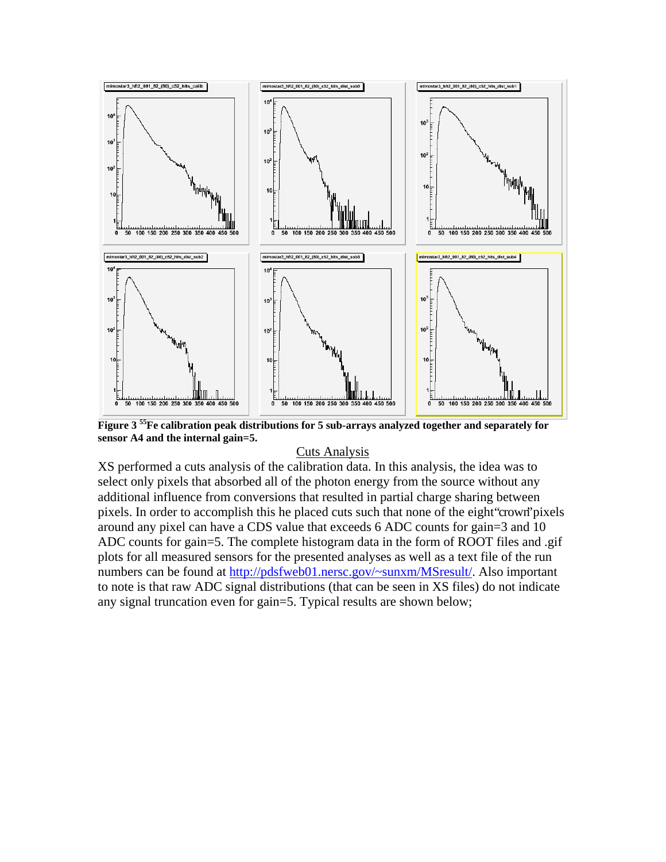

**Figure 3 55Fe calibration peak distributions for 5 sub-arrays analyzed together and separately for sensor A4 and the internal gain=5.** 

#### Cuts Analysis

XS performed a cuts analysis of the calibration data. In this analysis, the idea was to select only pixels that absorbed all of the photon energy from the source without any additional influence from conversions that resulted in partial charge sharing between pixels. In order to accomplish this he placed cuts such that none of the eight "crown" pixels around any pixel can have a CDS value that exceeds 6 ADC counts for gain=3 and 10 ADC counts for gain=5. The complete histogram data in the form of ROOT files and .gif plots for all measured sensors for the presented analyses as well as a text file of the run numbers can be found at http://pdsfweb01.nersc.gov/~sunxm/MSresult/. Also important to note is that raw ADC signal distributions (that can be seen in XS files) do not indicate any signal truncation even for gain=5. Typical results are shown below;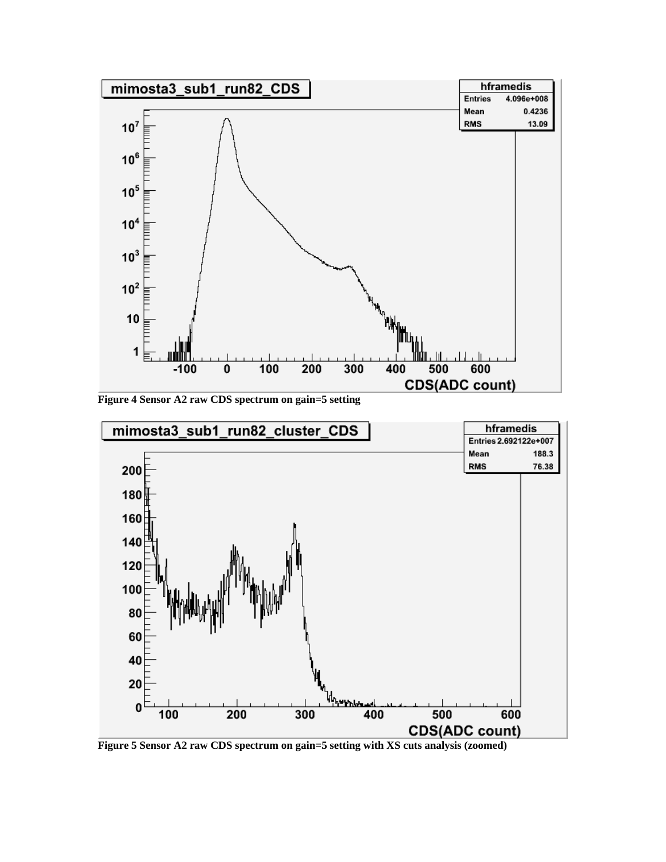

**Figure 4 Sensor A2 raw CDS spectrum on gain=5 setting** 



**Figure 5 Sensor A2 raw CDS spectrum on gain=5 setting with XS cuts analysis (zoomed)**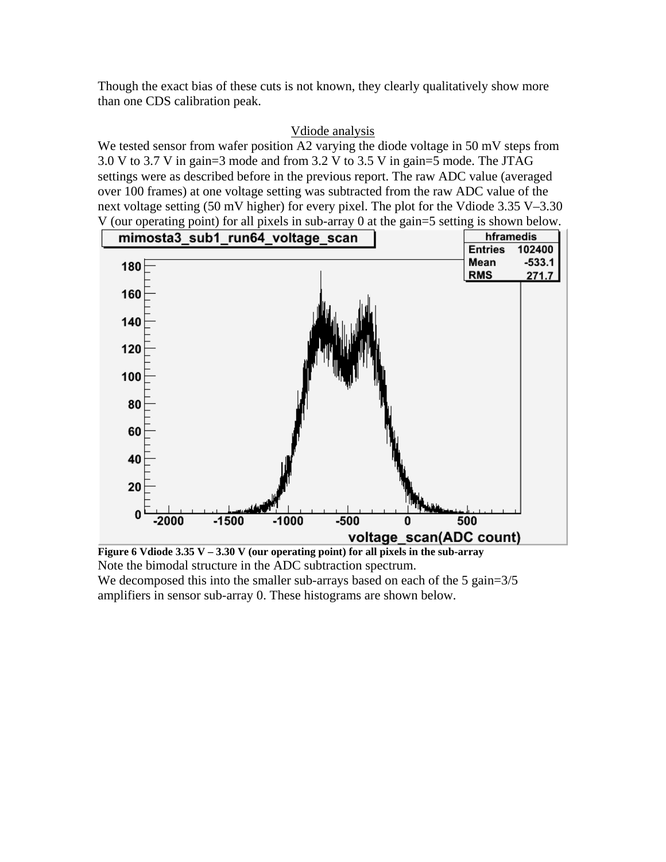Though the exact bias of these cuts is not known, they clearly qualitatively show more than one CDS calibration peak.

## Vdiode analysis

We tested sensor from wafer position A2 varying the diode voltage in 50 mV steps from 3.0 V to 3.7 V in gain=3 mode and from 3.2 V to 3.5 V in gain=5 mode. The JTAG settings were as described before in the previous report. The raw ADC value (averaged over 100 frames) at one voltage setting was subtracted from the raw ADC value of the next voltage setting (50 mV higher) for every pixel. The plot for the Vdiode  $3.35$  V- $3.30$ V (our operating point) for all pixels in sub-array 0 at the gain=5 setting is shown below.



**Figure 6 Vdiode 3.35 V – 3.30 V (our operating point) for all pixels in the sub-array**  Note the bimodal structure in the ADC subtraction spectrum. We decomposed this into the smaller sub-arrays based on each of the 5 gain= $3/5$ amplifiers in sensor sub-array 0. These histograms are shown below.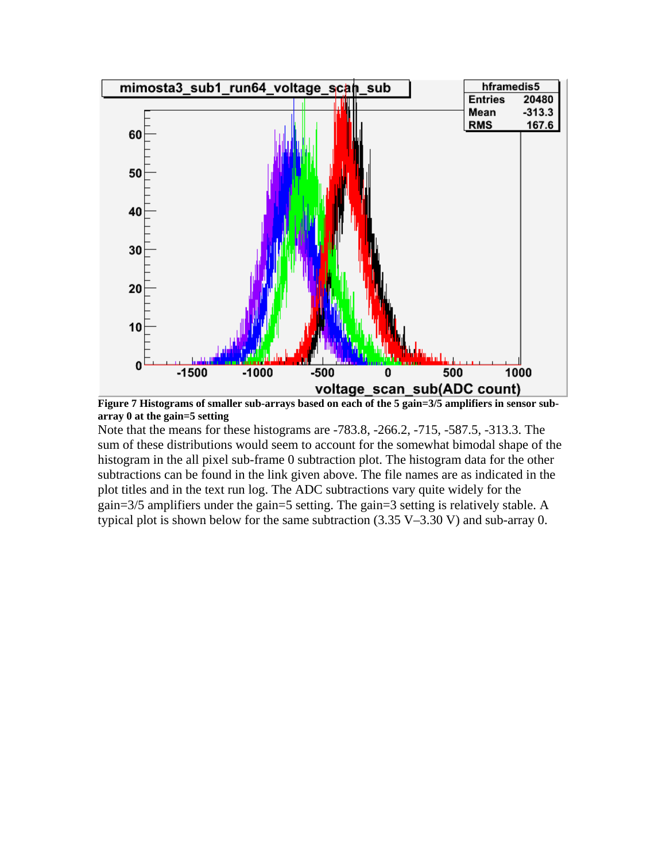

**Figure 7 Histograms of smaller sub-arrays based on each of the 5 gain=3/5 amplifiers in sensor subarray 0 at the gain=5 setting** 

Note that the means for these histograms are -783.8, -266.2, -715, -587.5, -313.3. The sum of these distributions would seem to account for the somewhat bimodal shape of the histogram in the all pixel sub-frame 0 subtraction plot. The histogram data for the other subtractions can be found in the link given above. The file names are as indicated in the plot titles and in the text run log. The ADC subtractions vary quite widely for the gain=3/5 amplifiers under the gain=5 setting. The gain=3 setting is relatively stable. A typical plot is shown below for the same subtraction  $(3.35 V - 3.30 V)$  and sub-array 0.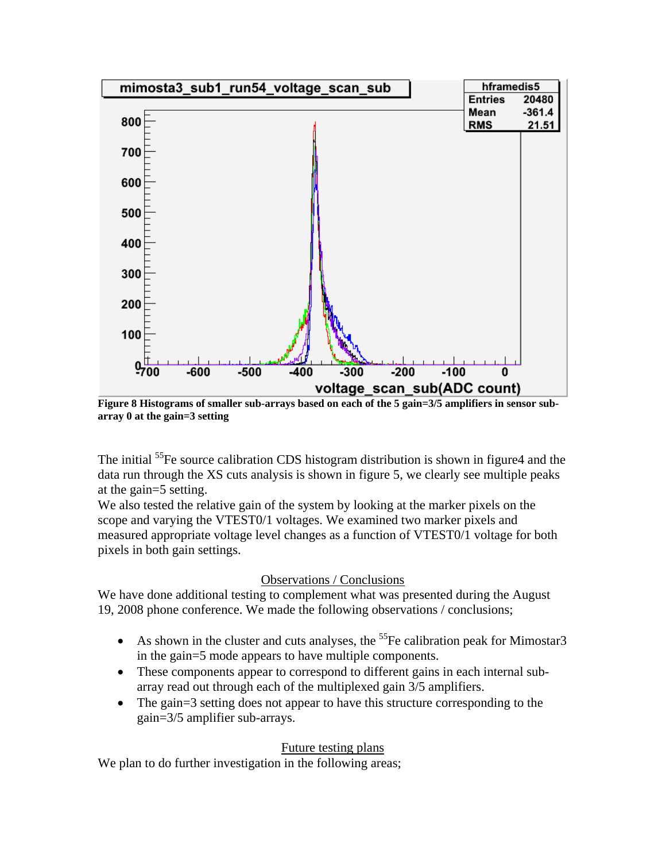

**Figure 8 Histograms of smaller sub-arrays based on each of the 5 gain=3/5 amplifiers in sensor subarray 0 at the gain=3 setting** 

The initial <sup>55</sup>Fe source calibration CDS histogram distribution is shown in figure4 and the data run through the XS cuts analysis is shown in figure 5, we clearly see multiple peaks at the gain=5 setting.

We also tested the relative gain of the system by looking at the marker pixels on the scope and varying the VTEST0/1 voltages. We examined two marker pixels and measured appropriate voltage level changes as a function of VTEST0/1 voltage for both pixels in both gain settings.

#### Observations / Conclusions

We have done additional testing to complement what was presented during the August 19, 2008 phone conference. We made the following observations / conclusions;

- As shown in the cluster and cuts analyses, the  $^{55}$ Fe calibration peak for Mimostar3 in the gain=5 mode appears to have multiple components.
- These components appear to correspond to different gains in each internal subarray read out through each of the multiplexed gain 3/5 amplifiers.
- The gain=3 setting does not appear to have this structure corresponding to the gain=3/5 amplifier sub-arrays.

# Future testing plans

We plan to do further investigation in the following areas;